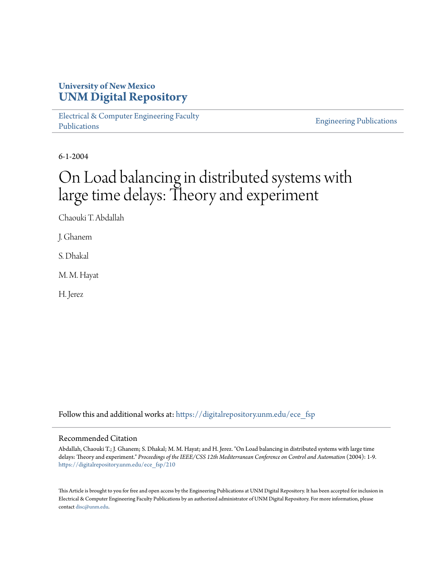## **University of New Mexico [UNM Digital Repository](https://digitalrepository.unm.edu?utm_source=digitalrepository.unm.edu%2Fece_fsp%2F210&utm_medium=PDF&utm_campaign=PDFCoverPages)**

[Electrical & Computer Engineering Faculty](https://digitalrepository.unm.edu/ece_fsp?utm_source=digitalrepository.unm.edu%2Fece_fsp%2F210&utm_medium=PDF&utm_campaign=PDFCoverPages) [Publications](https://digitalrepository.unm.edu/ece_fsp?utm_source=digitalrepository.unm.edu%2Fece_fsp%2F210&utm_medium=PDF&utm_campaign=PDFCoverPages)

[Engineering Publications](https://digitalrepository.unm.edu/eng_fsp?utm_source=digitalrepository.unm.edu%2Fece_fsp%2F210&utm_medium=PDF&utm_campaign=PDFCoverPages)

6-1-2004

# On Load balancing in distributed systems with large time delays: Theory and experiment

Chaouki T. Abdallah

J. Ghanem

S. Dhakal

M. M. Hayat

H. Jerez

Follow this and additional works at: [https://digitalrepository.unm.edu/ece\\_fsp](https://digitalrepository.unm.edu/ece_fsp?utm_source=digitalrepository.unm.edu%2Fece_fsp%2F210&utm_medium=PDF&utm_campaign=PDFCoverPages)

#### Recommended Citation

Abdallah, Chaouki T.; J. Ghanem; S. Dhakal; M. M. Hayat; and H. Jerez. "On Load balancing in distributed systems with large time delays: Theory and experiment." *Proceedings of the IEEE/CSS 12th Mediterranean Conference on Control and Automation* (2004): 1-9. [https://digitalrepository.unm.edu/ece\\_fsp/210](https://digitalrepository.unm.edu/ece_fsp/210?utm_source=digitalrepository.unm.edu%2Fece_fsp%2F210&utm_medium=PDF&utm_campaign=PDFCoverPages)

This Article is brought to you for free and open access by the Engineering Publications at UNM Digital Repository. It has been accepted for inclusion in Electrical & Computer Engineering Faculty Publications by an authorized administrator of UNM Digital Repository. For more information, please contact [disc@unm.edu.](mailto:disc@unm.edu)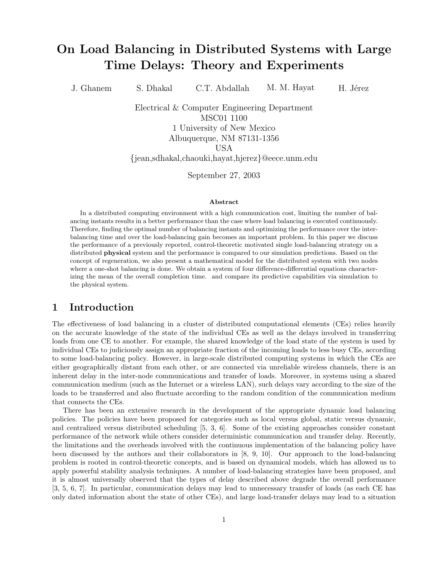## On Load Balancing in Distributed Systems with Large Time Delays: Theory and Experiments

J. Ghanem S. Dhakal C.T. Abdallah M. M. Hayat H. Jérez

Electrical & Computer Engineering Department MSC01 1100 1 University of New Mexico Albuquerque, NM 87131-1356 USA

{jean,sdhakal,chaouki,hayat,hjerez}@eece.unm.edu

September 27, 2003

#### Abstract

In a distributed computing environment with a high communication cost, limiting the number of balancing instants results in a better performance than the case where load balancing is executed continuously. Therefore, finding the optimal number of balancing instants and optimizing the performance over the interbalancing time and over the load-balancing gain becomes an important problem. In this paper we discuss the performance of a previously reported, control-theoretic motivated single load-balancing strategy on a distributed physical system and the performance is compared to our simulation predictions. Based on the concept of regeneration, we also present a mathematical model for the distributed system with two nodes where a one-shot balancing is done. We obtain a system of four difference-differential equations characterizing the mean of the overall completion time. and compare its predictive capabilities via simulation to the physical system.

#### 1 Introduction

The effectiveness of load balancing in a cluster of distributed computational elements (CEs) relies heavily on the accurate knowledge of the state of the individual CEs as well as the delays involved in transferring loads from one CE to another. For example, the shared knowledge of the load state of the system is used by individual CEs to judiciously assign an appropriate fraction of the incoming loads to less busy CEs, according to some load-balancing policy. However, in large-scale distributed computing systems in which the CEs are either geographically distant from each other, or are connected via unreliable wireless channels, there is an inherent delay in the inter-node communications and transfer of loads. Moreover, in systems using a shared communication medium (such as the Internet or a wireless LAN), such delays vary according to the size of the loads to be transferred and also fluctuate according to the random condition of the communication medium that connects the CEs.

There has been an extensive research in the development of the appropriate dynamic load balancing policies. The policies have been proposed for categories such as local versus global, static versus dynamic, and centralized versus distributed scheduling [5, 3, 6]. Some of the existing approaches consider constant performance of the network while others consider deterministic communication and transfer delay. Recently, the limitations and the overheads involved with the continuous implementation of the balancing policy have been discussed by the authors and their collaborators in [8, 9, 10]. Our approach to the load-balancing problem is rooted in control-theoretic concepts, and is based on dynamical models, which has allowed us to apply powerful stability analysis techniques. A number of load-balancing strategies have been proposed, and it is almost universally observed that the types of delay described above degrade the overall performance [3, 5, 6, 7]. In particular, communication delays may lead to unnecessary transfer of loads (as each CE has only dated information about the state of other CEs), and large load-transfer delays may lead to a situation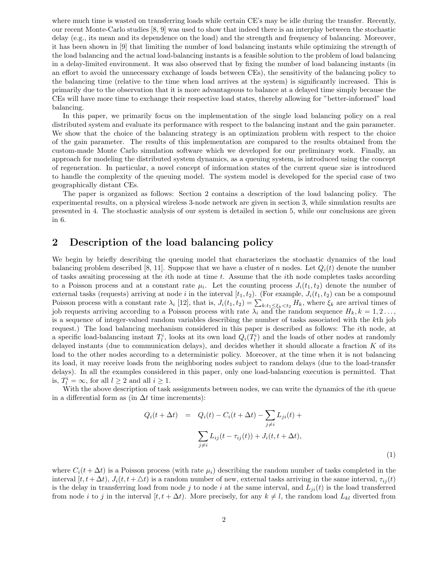where much time is wasted on transferring loads while certain CE's may be idle during the transfer. Recently, our recent Monte-Carlo studies [8, 9] was used to show that indeed there is an interplay between the stochastic delay (e.g., its mean and its dependence on the load) and the strength and frequency of balancing. Moreover, it has been shown in [9] that limiting the number of load balancing instants while optimizing the strength of the load balancing and the actual load-balancing instants is a feasible solution to the problem of load balancing in a delay-limited environment. It was also observed that by fixing the number of load balancing instants (in an effort to avoid the unnecessary exchange of loads between CEs), the sensitivity of the balancing policy to the balancing time (relative to the time when load arrives at the system) is significantly increased. This is primarily due to the observation that it is more advantageous to balance at a delayed time simply because the CEs will have more time to exchange their respective load states, thereby allowing for "better-informed" load balancing.

In this paper, we primarily focus on the implementation of the single load balancing policy on a real distributed system and evaluate its performance with respect to the balancing instant and the gain parameter. We show that the choice of the balancing strategy is an optimization problem with respect to the choice of the gain parameter. The results of this implementation are compared to the results obtained from the custom-made Monte Carlo simulation software which we developed for our preliminary work. Finally, an approach for modeling the distributed system dynamics, as a queuing system, is introduced using the concept of regeneration. In particular, a novel concept of information states of the current queue size is introduced to handle the complexity of the queuing model. The system model is developed for the special case of two geographically distant CEs.

The paper is organized as follows: Section 2 contains a description of the load balancing policy. The experimental results, on a physical wireless 3-node network are given in section 3, while simulation results are presented in 4. The stochastic analysis of our system is detailed in section 5, while our conclusions are given in 6.

## 2 Description of the load balancing policy

We begin by briefly describing the queuing model that characterizes the stochastic dynamics of the load balancing problem described [8, 11]. Suppose that we have a cluster of n nodes. Let  $Q_i(t)$  denote the number of tasks awaiting processing at the *i*th node at time t. Assume that the *i*th node completes tasks according to a Poisson process and at a constant rate  $\mu_i$ . Let the counting process  $J_i(t_1, t_2)$  denote the number of external tasks (requests) arriving at node i in the interval  $[t_1, t_2)$ . (For example,  $J_i(t_1, t_2)$  can be a compound Poisson process with a constant rate  $\lambda_i$  [12], that is,  $J_i(t_1, t_2) = \sum_{k:t_1 \leq \xi_k < t_2} H_k$ , where  $\xi_k$  are arrival times of job requests arriving according to a Poisson process with rate  $\lambda_i$  and the random sequence  $H_k, k = 1, 2 \ldots$ , is a sequence of integer-valued random variables describing the number of tasks associated with the kth job request.) The load balancing mechanism considered in this paper is described as follows: The ith node, at a specific load-balancing instant  $T_l^i$ , looks at its own load  $Q_i(T_l^i)$  and the loads of other nodes at randomly delayed instants (due to communication delays), and decides whether it should allocate a fraction K of its load to the other nodes according to a deterministic policy. Moreover, at the time when it is not balancing its load, it may receive loads from the neighboring nodes subject to random delays (due to the load-transfer delays). In all the examples considered in this paper, only one load-balancing execution is permitted. That is,  $T_l^i = \infty$ , for all  $l \geq 2$  and all  $i \geq 1$ .

With the above description of task assignments between nodes, we can write the dynamics of the *i*th queue in a differential form as (in  $\Delta t$  time increments):

$$
Q_i(t + \Delta t) = Q_i(t) - C_i(t + \Delta t) - \sum_{j \neq i} L_{ji}(t) +
$$

$$
\sum_{j \neq i} L_{ij}(t - \tau_{ij}(t)) + J_i(t, t + \Delta t),
$$

$$
(1)
$$

where  $C_i(t + \Delta t)$  is a Poisson process (with rate  $\mu_i$ ) describing the random number of tasks completed in the interval  $[t, t + \Delta t)$ ,  $J_i(t, t + \Delta t)$  is a random number of new, external tasks arriving in the same interval,  $\tau_{ii}(t)$ is the delay in transferring load from node j to node i at the same interval, and  $L_{ji}(t)$  is the load transferred from node i to j in the interval  $[t, t + \Delta t)$ . More precisely, for any  $k \neq l$ , the random load  $L_{kl}$  diverted from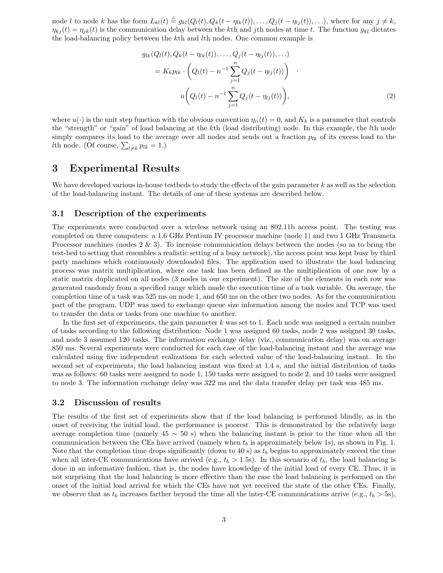node l to node k has the form  $L_{kl}(t) \triangleq g_{kl}(Q_l(t), Q_k(t - \eta_{lk}(t)), \ldots, Q_j(t - \eta_{lj}(t)), \ldots)$ , where for any  $j \neq k$ ,  $\eta_{ki}(t) = \eta_{ik}(t)$  is the communication delay between the kth and jth nodes at time t. The function  $g_{kl}$  dictates the load-balancing policy between the kth and lth nodes. One common example is

$$
g_{lk}(Q_l(t), Q_k(t - \eta_{lk}(t)), \dots, Q_j(t - \eta_{lj}(t)), \dots)
$$
  
=  $K_k p_{lk} \cdot \left(Q_l(t) - n^{-1} \sum_{j=1}^n Q_j(t - \eta_{lj}(t))\right)$   

$$
u\left(Q_l(t) - n^{-1} \sum_{j=1}^n Q_j(t - \eta_{lj}(t))\right),
$$
 (2)

where  $u(\cdot)$  is the unit step function with the obvious convention  $\eta_{ii}(t) = 0$ , and  $K_k$  is a parameter that controls the "strength" or "gain" of load balancing at the kth (load distributing) node. In this example, the lth node simply compares its load to the average over all nodes and sends out a fraction  $p_{lk}$  of its excess load to the *lth* node. (Of course,  $\sum_{l \neq k} p_{lk} = 1$ .)

## 3 Experimental Results

We have developed various in-house testbeds to study the effects of the gain parameter  $k$  as well as the selection of the load-balancing instant. The details of one of these systems are described below.

#### 3.1 Description of the experiments

The experiments were conducted over a wireless network using an 802.11b access point. The testing was completed on three computers: a 1.6 GHz Pentium IV processor machine (node 1) and two 1 GHz Transmeta Processor machines (nodes 2 & 3). To increase communication delays between the nodes (so as to bring the test-bed to setting that resembles a realistic setting of a busy network), the access point was kept busy by third party machines which continuously downloaded files. The application used to illustrate the load balancing process was matrix multiplication, where one task has been defined as the multiplication of one row by a static matrix duplicated on all nodes (3 nodes in our experiment). The size of the elements in each row was generated randomly from a specified range which made the execution time of a task variable. On average, the completion time of a task was 525 ms on node 1, and 650 ms on the other two nodes. As for the communication part of the program, UDP was used to exchange queue size information among the nodes and TCP was used to transfer the data or tasks from one machine to another.

In the first set of experiments, the gain parameter  $k$  was set to 1. Each node was assigned a certain number of tasks according to the following distribution: Node 1 was assigned 60 tasks, node 2 was assigned 30 tasks, and node 3 assumed 120 tasks. The information exchange delay (viz., communication delay) was on average 850 ms. Several experiments were conducted for each case of the load-balancing instant and the average was calculated using five independent realizations for each selected value of the load-balancing instant. In the second set of experiments, the load balancing instant was fixed at 1.4 s, and the initial distribution of tasks was as follows: 60 tasks were assigned to node 1, 150 tasks were assigned to node 2, and 10 tasks were assigned to node 3. The information exchange delay was 322 ms and the data transfer delay per task was 485 ms.

#### 3.2 Discussion of results

The results of the first set of experiments show that if the load balancing is performed blindly, as in the onset of receiving the initial load, the performance is poorest. This is demonstrated by the relatively large average completion time (namely  $45 \sim 50$  s) when the balancing instant is prior to the time when all the communication between the CEs have arrived (namely when  $t_b$  is approximately below 1s), as shown in Fig. 1. Note that the completion time drops significantly (down to 40 s) as  $t_b$  begins to approximately exceed the time when all inter-CE communications have arrived (e.g.,  $t_b > 1.5$ s). In this scenario of  $t_b$ , the load balancing is done in an informative fashion, that is, the nodes have knowledge of the initial load of every CE. Thus, it is not surprising that the load balancing is more effective than the case the load balancing is performed on the onset of the initial load arrival for which the CEs have not yet received the state of the other CEs. Finally, we observe that as  $t_b$  increases farther beyond the time all the inter-CE communications arrive (e.g.,  $t_b > 5s$ ).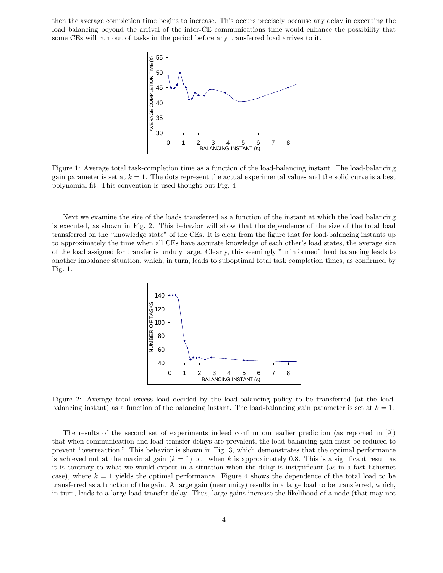then the average completion time begins to increase. This occurs precisely because any delay in executing the load balancing beyond the arrival of the inter-CE communications time would enhance the possibility that some CEs will run out of tasks in the period before any transferred load arrives to it.



Figure 1: Average total task-completion time as a function of the load-balancing instant. The load-balancing gain parameter is set at  $k = 1$ . The dots represent the actual experimental values and the solid curve is a best polynomial fit. This convention is used thought out Fig. 4

.

Next we examine the size of the loads transferred as a function of the instant at which the load balancing is executed, as shown in Fig. 2. This behavior will show that the dependence of the size of the total load transferred on the "knowledge state" of the CEs. It is clear from the figure that for load-balancing instants up to approximately the time when all CEs have accurate knowledge of each other's load states, the average size of the load assigned for transfer is unduly large. Clearly, this seemingly "uninformed" load balancing leads to another imbalance situation, which, in turn, leads to suboptimal total task completion times, as confirmed by Fig. 1.



Figure 2: Average total excess load decided by the load-balancing policy to be transferred (at the loadbalancing instant) as a function of the balancing instant. The load-balancing gain parameter is set at  $k = 1$ .

The results of the second set of experiments indeed confirm our earlier prediction (as reported in [9]) that when communication and load-transfer delays are prevalent, the load-balancing gain must be reduced to prevent "overreaction." This behavior is shown in Fig. 3, which demonstrates that the optimal performance is achieved not at the maximal gain  $(k = 1)$  but when k is approximately 0.8. This is a significant result as it is contrary to what we would expect in a situation when the delay is insignificant (as in a fast Ethernet case), where  $k = 1$  yields the optimal performance. Figure 4 shows the dependence of the total load to be transferred as a function of the gain. A large gain (near unity) results in a large load to be transferred, which, in turn, leads to a large load-transfer delay. Thus, large gains increase the likelihood of a node (that may not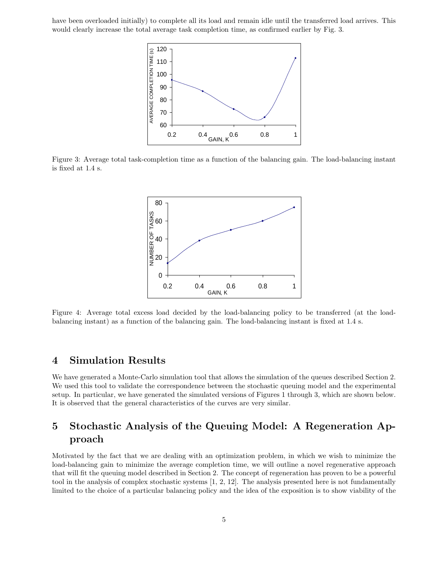have been overloaded initially) to complete all its load and remain idle until the transferred load arrives. This would clearly increase the total average task completion time, as confirmed earlier by Fig. 3.



Figure 3: Average total task-completion time as a function of the balancing gain. The load-balancing instant is fixed at 1.4 s.



Figure 4: Average total excess load decided by the load-balancing policy to be transferred (at the loadbalancing instant) as a function of the balancing gain. The load-balancing instant is fixed at 1.4 s.

## 4 Simulation Results

We have generated a Monte-Carlo simulation tool that allows the simulation of the queues described Section 2. We used this tool to validate the correspondence between the stochastic queuing model and the experimental setup. In particular, we have generated the simulated versions of Figures 1 through 3, which are shown below. It is observed that the general characteristics of the curves are very similar.

## 5 Stochastic Analysis of the Queuing Model: A Regeneration Approach

Motivated by the fact that we are dealing with an optimization problem, in which we wish to minimize the load-balancing gain to minimize the average completion time, we will outline a novel regenerative approach that will fit the queuing model described in Section 2. The concept of regeneration has proven to be a powerful tool in the analysis of complex stochastic systems [1, 2, 12]. The analysis presented here is not fundamentally limited to the choice of a particular balancing policy and the idea of the exposition is to show viability of the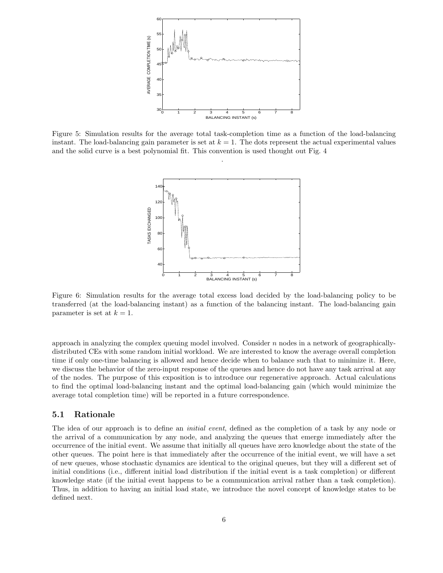

Figure 5: Simulation results for the average total task-completion time as a function of the load-balancing instant. The load-balancing gain parameter is set at  $k = 1$ . The dots represent the actual experimental values and the solid curve is a best polynomial fit. This convention is used thought out Fig. 4

.



Figure 6: Simulation results for the average total excess load decided by the load-balancing policy to be transferred (at the load-balancing instant) as a function of the balancing instant. The load-balancing gain parameter is set at  $k = 1$ .

approach in analyzing the complex queuing model involved. Consider  $n$  nodes in a network of geographicallydistributed CEs with some random initial workload. We are interested to know the average overall completion time if only one-time balancing is allowed and hence decide when to balance such that to minimize it. Here, we discuss the behavior of the zero-input response of the queues and hence do not have any task arrival at any of the nodes. The purpose of this exposition is to introduce our regenerative approach. Actual calculations to find the optimal load-balancing instant and the optimal load-balancing gain (which would minimize the average total completion time) will be reported in a future correspondence.

#### 5.1 Rationale

The idea of our approach is to define an *initial event*, defined as the completion of a task by any node or the arrival of a communication by any node, and analyzing the queues that emerge immediately after the occurrence of the initial event. We assume that initially all queues have zero knowledge about the state of the other queues. The point here is that immediately after the occurrence of the initial event, we will have a set of new queues, whose stochastic dynamics are identical to the original queues, but they will a different set of initial conditions (i.e., different initial load distribution if the initial event is a task completion) or different knowledge state (if the initial event happens to be a communication arrival rather than a task completion). Thus, in addition to having an initial load state, we introduce the novel concept of knowledge states to be defined next.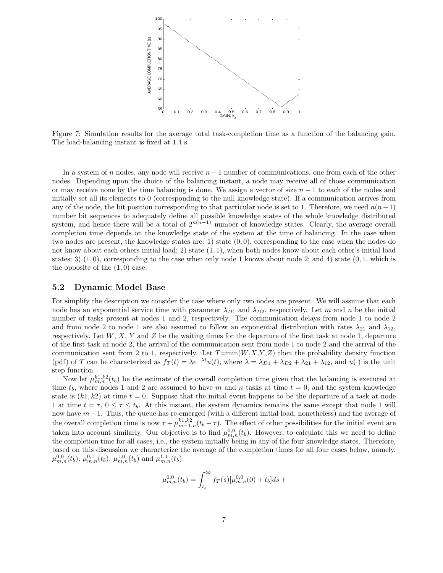

Figure 7: Simulation results for the average total task-completion time as a function of the balancing gain. The load-balancing instant is fixed at 1.4 s.

In a system of n nodes, any node will receive  $n-1$  number of communications, one from each of the other nodes. Depending upon the choice of the balancing instant, a node may receive all of those communication or may receive none by the time balancing is done. We assign a vector of size  $n - 1$  to each of the nodes and initially set all its elements to 0 (corresponding to the null knowledge state). If a communication arrives from any of the node, the bit position corresponding to that particular node is set to 1. Therefore, we need  $n(n-1)$ number bit sequences to adequately define all possible knowledge states of the whole knowledge distributed system, and hence there will be a total of  $2^{n(n-1)}$  number of knowledge states. Clearly, the average overall completion time depends on the knowledge state of the system at the time of balancing. In the case when two nodes are present, the knowledge states are: 1) state  $(0, 0)$ , corresponding to the case when the nodes do not know about each others initial load; 2) state (1, 1), when both nodes know about each other's initial load states; 3)  $(1,0)$ , corresponding to the case when only node 1 knows about node 2; and 4) state  $(0,1)$ , which is the opposite of the  $(1,0)$  case.

#### 5.2 Dynamic Model Base

For simplify the description we consider the case where only two nodes are present. We will assume that each node has an exponential service time with parameter  $\lambda_{D1}$  and  $\lambda_{D2}$ , respectively. Let m and n be the initial number of tasks present at nodes 1 and 2, respectively. The communication delays from node 1 to node 2 and from node 2 to node 1 are also assumed to follow an exponential distribution with rates  $\lambda_{21}$  and  $\lambda_{12}$ , respectively. Let  $W, X, Y$  and  $Z$  be the waiting times for the departure of the first task at node 1, departure of the first task at node 2, the arrival of the communication sent from node 1 to node 2 and the arrival of the communication sent from 2 to 1, respectively. Let  $T=\min(W,X,Y,Z)$  then the probability density function (pdf) of T can be characterized as  $f_T(t) = \lambda e^{-\lambda t} u(t)$ , where  $\lambda = \lambda_{D1} + \lambda_{D2} + \lambda_{21} + \lambda_{12}$ , and  $u(\cdot)$  is the unit step function.

Now let  $\mu_{m,n}^{k1,k2}(t_b)$  be the estimate of the overall completion time given that the balancing is executed at time  $t_b$ , where nodes 1 and 2 are assumed to have m and n tasks at time  $t = 0$ , and the system knowledge state is  $(k1, k2)$  at time  $t = 0$ . Suppose that the initial event happens to be the departure of a task at node 1 at time  $t = \tau$ ,  $0 \le \tau \le t_b$ . At this instant, the system dynamics remains the same except that node 1 will now have m−1. Thus, the queue has re-emerged (with a different initial load, nonetheless) and the average of the overall completion time is now  $\tau + \mu_{m-1,n}^{k_1,k_2}(t_b - \tau)$ . The effect of other possibilities for the initial event are taken into account similarly. Our objective is to find  $\mu_{m,n}^{0,0}(t_b)$ . However, to calculate this we need to define the completion time for all cases, i.e., the system initially being in any of the four knowledge states. Therefore, based on this discussion we characterize the average of the completion times for all four cases below, namely,  $\mu_{m,n}^{0,0}(t_b)$ ,  $\mu_{m,n}^{0,1}(t_b)$ ,  $\mu_{m,n}^{1,0}(t_b)$  and  $\mu_{m,n}^{1,1}(t_b)$ .

$$
\mu_{m,n}^{0,0}(t_b) = \int_{t_b}^\infty f_T(s) [\mu_{m,n}^{0,0}(0) + t_b] ds \; +
$$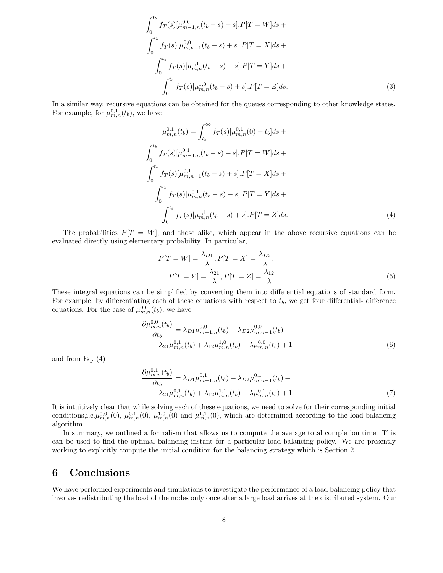$$
\int_{0}^{t_{b}} f_{T}(s)[\mu_{m-1,n}^{0,0}(t_{b}-s)+s].P[T=W]ds +
$$
  

$$
\int_{0}^{t_{b}} f_{T}(s)[\mu_{m,n-1}^{0,0}(t_{b}-s)+s].P[T=X]ds +
$$
  

$$
\int_{0}^{t_{b}} f_{T}(s)[\mu_{m,n}^{0,1}(t_{b}-s)+s].P[T=Y]ds +
$$
  

$$
\int_{0}^{t_{b}} f_{T}(s)[\mu_{m,n}^{1,0}(t_{b}-s)+s].P[T=Z]ds.
$$
 (3)

In a similar way, recursive equations can be obtained for the queues corresponding to other knowledge states. For example, for  $\mu_{m,n}^{0,1}(t_b)$ , we have

$$
\mu_{m,n}^{0,1}(t_b) = \int_{t_b}^{\infty} f_T(s)[\mu_{m,n}^{0,1}(0) + t_b]ds +
$$
  

$$
\int_{0}^{t_b} f_T(s)[\mu_{m-1,n}^{0,1}(t_b - s) + s].P[T = W]ds +
$$
  

$$
\int_{0}^{t_b} f_T(s)[\mu_{m,n-1}^{0,1}(t_b - s) + s].P[T = X]ds +
$$
  

$$
\int_{0}^{t_b} f_T(s)[\mu_{m,n}^{0,1}(t_b - s) + s].P[T = Y]ds +
$$
  

$$
\int_{0}^{t_b} f_T(s)[\mu_{m,n}^{1,1}(t_b - s) + s].P[T = Z]ds.
$$
  
(4)

The probabilities  $P[T = W]$ , and those alike, which appear in the above recursive equations can be evaluated directly using elementary probability. In particular,

$$
P[T = W] = \frac{\lambda_{D1}}{\lambda}, P[T = X] = \frac{\lambda_{D2}}{\lambda},
$$
  

$$
P[T = Y] = \frac{\lambda_{21}}{\lambda}, P[T = Z] = \frac{\lambda_{12}}{\lambda}
$$
 (5)

These integral equations can be simplified by converting them into differential equations of standard form. For example, by differentiating each of these equations with respect to  $t<sub>b</sub>$ , we get four differential- difference equations. For the case of  $\mu_{m,n}^{0,0}(t_b)$ , we have

$$
\frac{\partial \mu_{m,n}^{0,0}(t_b)}{\partial t_b} = \lambda_{D1} \mu_{m-1,n}^{0,0}(t_b) + \lambda_{D2} \mu_{m,n-1}^{0,0}(t_b) + \lambda_{21} \mu_{m,n}^{0,1}(t_b) + \lambda_{12} \mu_{m,n}^{1,0}(t_b) - \lambda \mu_{m,n}^{0,0}(t_b) + 1
$$
\n(6)

and from Eq.  $(4)$ 

$$
\frac{\partial \mu_{m,n}^{0,1}(t_b)}{\partial t_b} = \lambda_{D1} \mu_{m-1,n}^{0,1}(t_b) + \lambda_{D2} \mu_{m,n-1}^{0,1}(t_b) + \lambda_{21} \mu_{m,n}^{0,1}(t_b) + \lambda_{12} \mu_{m,n}^{1,1}(t_b) - \lambda \mu_{m,n}^{0,1}(t_b) + 1 \tag{7}
$$

It is intuitively clear that while solving each of these equations, we need to solve for their corresponding initial conditions, i.e.  $\mu_{m,n}^{0,0}(0)$ ,  $\mu_{m,n}^{0,1}(0)$ ,  $\mu_{m,n}^{1,0}(0)$  and  $\mu_{m,n}^{1,1}(0)$ , which are determined according to the load-balancing algorithm.

In summary, we outlined a formalism that allows us to compute the average total completion time. This can be used to find the optimal balancing instant for a particular load-balancing policy. We are presently working to explicitly compute the initial condition for the balancing strategy which is Section 2.

### 6 Conclusions

We have performed experiments and simulations to investigate the performance of a load balancing policy that involves redistributing the load of the nodes only once after a large load arrives at the distributed system. Our